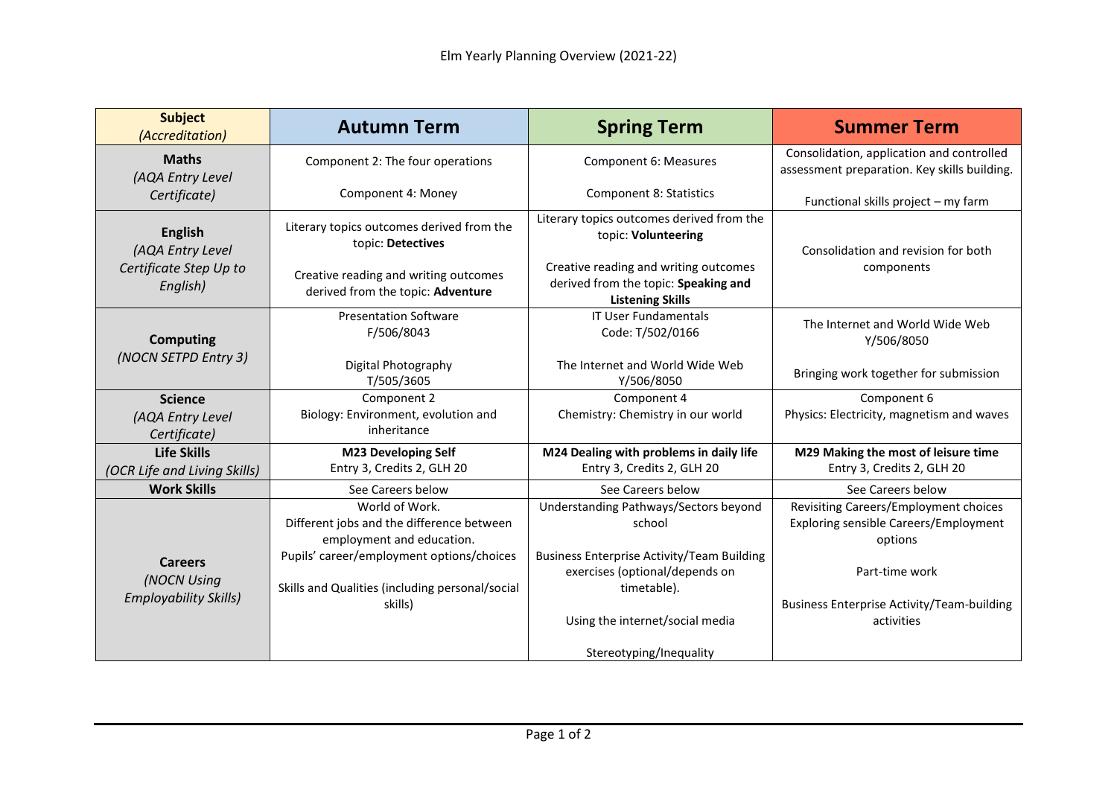| <b>Subject</b><br>(Accreditation)                                        | <b>Autumn Term</b>                                                                           | <b>Spring Term</b>                                                                                       | <b>Summer Term</b>                                                                        |
|--------------------------------------------------------------------------|----------------------------------------------------------------------------------------------|----------------------------------------------------------------------------------------------------------|-------------------------------------------------------------------------------------------|
| <b>Maths</b><br>(AQA Entry Level<br>Certificate)                         | Component 2: The four operations                                                             | Component 6: Measures                                                                                    | Consolidation, application and controlled<br>assessment preparation. Key skills building. |
|                                                                          | Component 4: Money                                                                           | <b>Component 8: Statistics</b>                                                                           | Functional skills project - my farm                                                       |
| <b>English</b><br>(AQA Entry Level<br>Certificate Step Up to<br>English) | Literary topics outcomes derived from the<br>topic: Detectives                               | Literary topics outcomes derived from the<br>topic: Volunteering                                         | Consolidation and revision for both                                                       |
|                                                                          | Creative reading and writing outcomes<br>derived from the topic: Adventure                   | Creative reading and writing outcomes<br>derived from the topic: Speaking and<br><b>Listening Skills</b> | components                                                                                |
| <b>Computing</b><br>(NOCN SETPD Entry 3)                                 | <b>Presentation Software</b><br>F/506/8043                                                   | <b>IT User Fundamentals</b><br>Code: T/502/0166                                                          | The Internet and World Wide Web<br>Y/506/8050                                             |
|                                                                          | Digital Photography<br>T/505/3605                                                            | The Internet and World Wide Web<br>Y/506/8050                                                            | Bringing work together for submission                                                     |
| <b>Science</b>                                                           | Component 2                                                                                  | Component 4                                                                                              | Component 6                                                                               |
| (AQA Entry Level<br>Certificate)                                         | Biology: Environment, evolution and<br>inheritance                                           | Chemistry: Chemistry in our world                                                                        | Physics: Electricity, magnetism and waves                                                 |
| <b>Life Skills</b>                                                       | <b>M23 Developing Self</b>                                                                   | M24 Dealing with problems in daily life                                                                  | M29 Making the most of leisure time                                                       |
| (OCR Life and Living Skills)                                             | Entry 3, Credits 2, GLH 20                                                                   | Entry 3, Credits 2, GLH 20                                                                               | Entry 3, Credits 2, GLH 20                                                                |
| <b>Work Skills</b>                                                       | See Careers below                                                                            | See Careers below                                                                                        | See Careers below                                                                         |
| <b>Careers</b><br>(NOCN Using<br><b>Employability Skills)</b>            | World of Work.<br>Different jobs and the difference between<br>employment and education.     | Understanding Pathways/Sectors beyond<br>school                                                          | Revisiting Careers/Employment choices<br>Exploring sensible Careers/Employment<br>options |
|                                                                          | Pupils' career/employment options/choices<br>Skills and Qualities (including personal/social | <b>Business Enterprise Activity/Team Building</b><br>exercises (optional/depends on<br>timetable).       | Part-time work                                                                            |
|                                                                          | skills)                                                                                      | Using the internet/social media                                                                          | <b>Business Enterprise Activity/Team-building</b><br>activities                           |
|                                                                          |                                                                                              | Stereotyping/Inequality                                                                                  |                                                                                           |